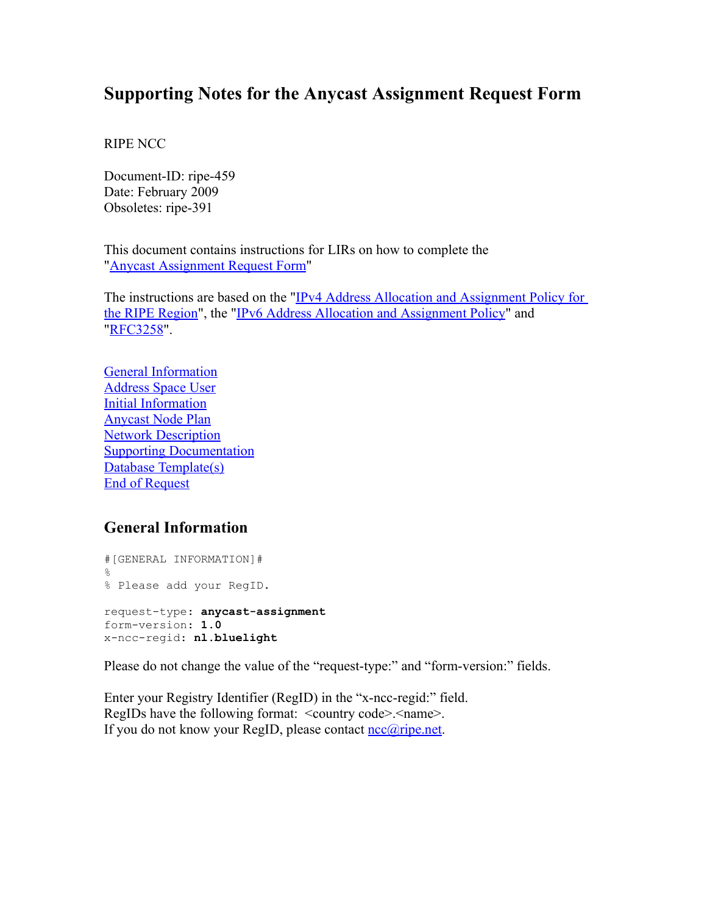# **Supporting Notes for the Anycast Assignment Request Form**

RIPE NCC

Document-ID: ripe-459 Date: February 2009 Obsoletes: ripe-391

This document contains instructions for LIRs on how to complete the "Anycast [Assignment](http://www.ripe.net/ripe/docs/anycast-request.html) Request Form"

The instructions are based on the "IPv4 Address Allocation and [Assignment](http://www.ripe.net/ripe/docs/ipv4-policies.html) Policy for the RIPE [Region"](http://www.ripe.net/ripe/docs/ipv4-policies.html), the "IPv6 Address Allocation and [Assignment](http://www.ripe.net/ripe/docs/ipv6policy.html) Policy" and ["RFC3258"](http://www.ietf.org/rfc/rfc3258.txt).

General [Information](#page-0-0) [Address](#page-1-0) Space User Initial [Information](#page-2-0) [Anycast](#page-3-1) Node Plan Network [Description](#page-3-0) **Supporting [Documentation](#page-4-1)** Database [Template\(s\)](#page-4-0) End of [Request](#page-6-0)

### <span id="page-0-0"></span>**General Information**

#[GENERAL INFORMATION]#  $\mathfrak{S}$ % Please add your RegID. request-type: **anycast-assignment** form-version: **1.0** x-ncc-regid: **nl.bluelight**

Please do not change the value of the "request-type:" and "form-version:" fields.

Enter your Registry Identifier (RegID) in the "x-ncc-regid:" field. RegIDs have the following format: <country code>.<name>. If you do not know your RegID, please contact [ncc@ripe.net.](mailto:ncc@ripe.net)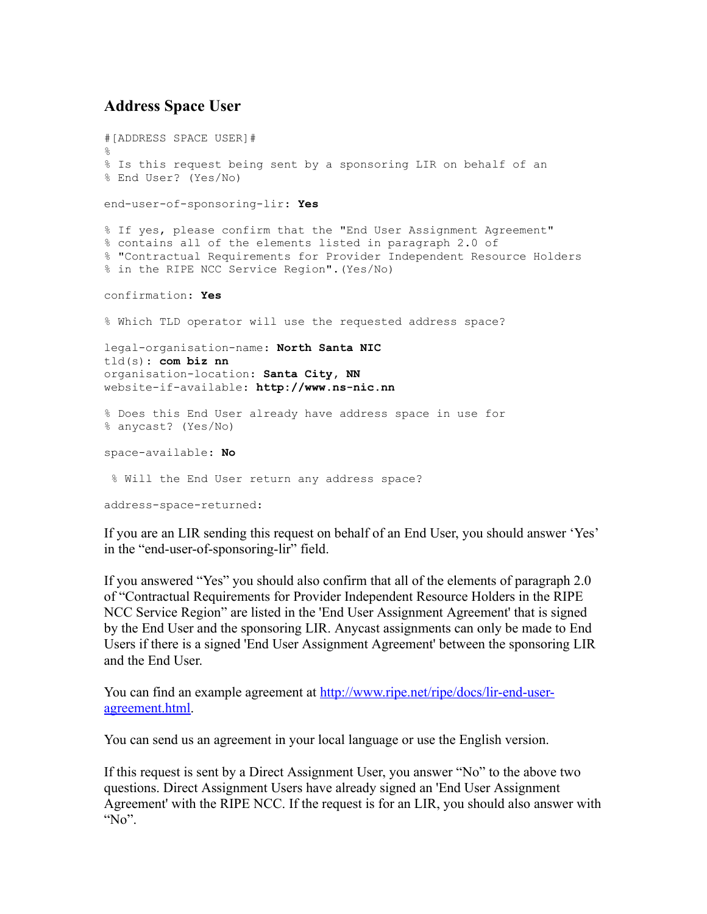## <span id="page-1-0"></span>**Address Space User**

```
#[ADDRESS SPACE USER]#
\approx% Is this request being sent by a sponsoring LIR on behalf of an
% End User? (Yes/No)
end-user-of-sponsoring-lir: Yes
% If yes, please confirm that the "End User Assignment Agreement"
% contains all of the elements listed in paragraph 2.0 of
% "Contractual Requirements for Provider Independent Resource Holders
% in the RIPE NCC Service Region".(Yes/No)
confirmation: Yes
% Which TLD operator will use the requested address space?
legal-organisation-name: North Santa NIC
tld(s): com biz nn
organisation-location: Santa City, NN
website-if-available: http://www.ns-nic.nn
% Does this End User already have address space in use for
% anycast? (Yes/No)
space-available: No
 % Will the End User return any address space?
address-space-returned:
```
If you are an LIR sending this request on behalf of an End User, you should answer 'Yes' in the "end-user-of-sponsoring-lir" field.

If you answered "Yes" you should also confirm that all of the elements of paragraph 2.0 of "Contractual Requirements for Provider Independent Resource Holders in the RIPE NCC Service Region" are listed in the 'End User Assignment Agreement' that is signed by the End User and the sponsoring LIR. Anycast assignments can only be made to End Users if there is a signed 'End User Assignment Agreement' between the sponsoring LIR and the End User.

You can find an example agreement at [http://www.ripe.net/ripe/docs/lir-end-user](http://www.ripe.net/ripe/docs/lir-end-user-agreement.html)[agreement.html.](http://www.ripe.net/ripe/docs/lir-end-user-agreement.html)

You can send us an agreement in your local language or use the English version.

If this request is sent by a Direct Assignment User, you answer "No" to the above two questions. Direct Assignment Users have already signed an 'End User Assignment Agreement' with the RIPE NCC. If the request is for an LIR, you should also answer with "No".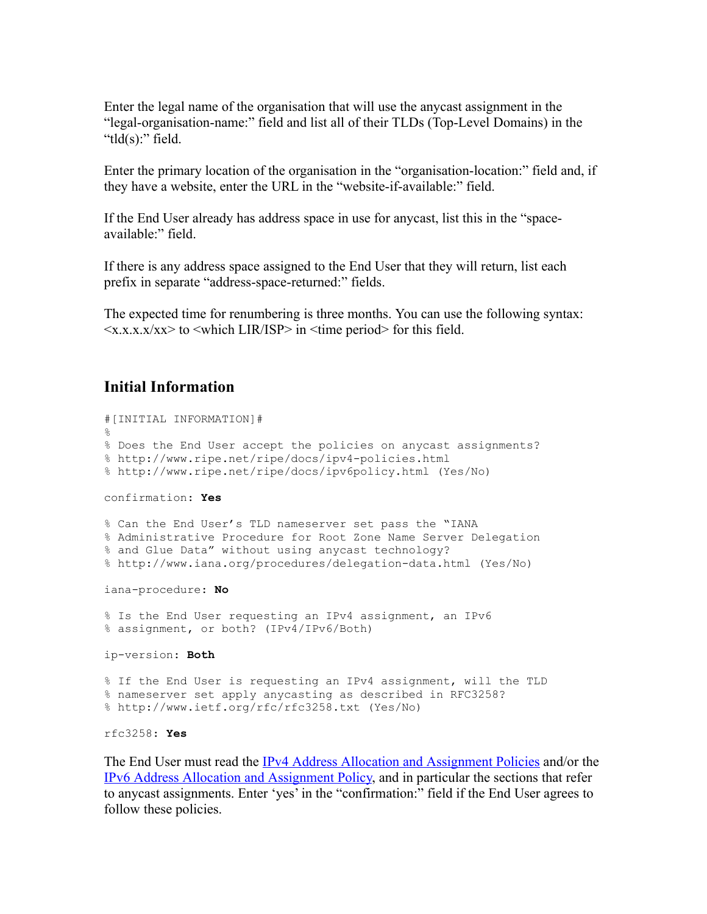Enter the legal name of the organisation that will use the anycast assignment in the "legal-organisation-name:" field and list all of their TLDs (Top-Level Domains) in the "tld(s):" field.

Enter the primary location of the organisation in the "organisation-location:" field and, if they have a website, enter the URL in the "website-if-available:" field.

If the End User already has address space in use for anycast, list this in the "spaceavailable:" field.

If there is any address space assigned to the End User that they will return, list each prefix in separate "address-space-returned:" fields.

The expected time for renumbering is three months. You can use the following syntax:  $\langle x.x.x.x/xx \rangle$  to  $\langle$ which LIR/ISP $>$  in  $\langle$  time period $>$  for this field.

### <span id="page-2-0"></span>**Initial Information**

```
#[INITIAL INFORMATION]#
%
% Does the End User accept the policies on anycast assignments?
% http://www.ripe.net/ripe/docs/ipv4-policies.html
% http://www.ripe.net/ripe/docs/ipv6policy.html (Yes/No)
confirmation: Yes
% Can the End User's TLD nameserver set pass the "IANA
% Administrative Procedure for Root Zone Name Server Delegation
% and Glue Data" without using anycast technology?
% http://www.iana.org/procedures/delegation-data.html (Yes/No)
iana-procedure: No
% Is the End User requesting an IPv4 assignment, an IPv6
% assignment, or both? (IPv4/IPv6/Both)
ip-version: Both
% If the End User is requesting an IPv4 assignment, will the TLD
% nameserver set apply anycasting as described in RFC3258?
% http://www.ietf.org/rfc/rfc3258.txt (Yes/No)
rfc3258: Yes
```
The End User must read the IPv4 Address Allocation and [Assignment](http://www.ripe.net/ripe/docs/ipv4-policies.html) Policies and/or the IPv6 Address Allocation and [Assignment](http://www.ripe.net/ripe/docs/ipv6-policy.html) Policy, and in particular the sections that refer to anycast assignments. Enter 'yes' in the "confirmation:" field if the End User agrees to follow these policies.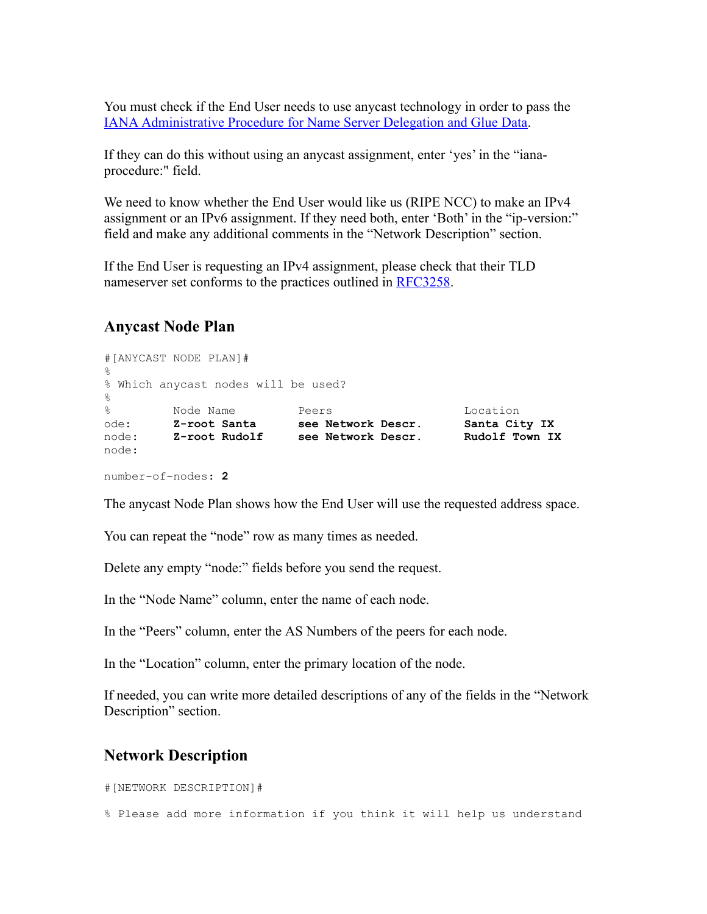You must check if the End User needs to use anycast technology in order to pass the IANA [Administrative](http://www.iana.org/procedures/delegation-data.html) Procedure for Name Server Delegation and Glue Data.

If they can do this without using an anycast assignment, enter 'yes' in the "ianaprocedure:" field.

We need to know whether the End User would like us (RIPE NCC) to make an IPv4 assignment or an IPv6 assignment. If they need both, enter 'Both' in the "ip-version:" field and make any additional comments in the "Network Description" section.

If the End User is requesting an IPv4 assignment, please check that their TLD nameserver set conforms to the practices outlined in [RFC3258.](http://www.ietf.org/rfc/rfc3258.txt)

#### <span id="page-3-1"></span>**Anycast Node Plan**

```
#[ANYCAST NODE PLAN]#
%
% Which anycast nodes will be used?
\approx% Node Name Peers Location
ode: Z-root Santa see Network Descr. Santa City IX
node: Z-root Rudolf see Network Descr. Rudolf Town IX
node:
number-of-nodes: 2
```
The anycast Node Plan shows how the End User will use the requested address space.

You can repeat the "node" row as many times as needed.

Delete any empty "node:" fields before you send the request.

In the "Node Name" column, enter the name of each node.

In the "Peers" column, enter the AS Numbers of the peers for each node.

In the "Location" column, enter the primary location of the node.

If needed, you can write more detailed descriptions of any of the fields in the "Network Description" section.

#### <span id="page-3-0"></span>**Network Description**

#[NETWORK DESCRIPTION]#

% Please add more information if you think it will help us understand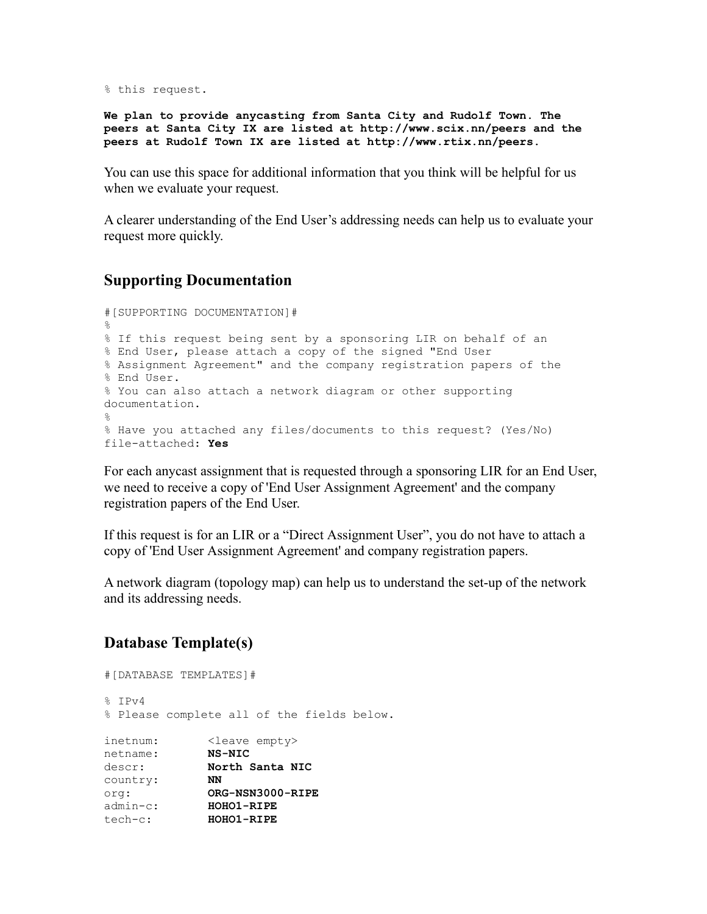% this request.

**We plan to provide anycasting from Santa City and Rudolf Town. The peers at Santa City IX are listed at http://www.scix.nn/peers and the peers at Rudolf Town IX are listed at http://www.rtix.nn/peers.**

You can use this space for additional information that you think will be helpful for us when we evaluate your request.

A clearer understanding of the End User's addressing needs can help us to evaluate your request more quickly.

## <span id="page-4-1"></span>**Supporting Documentation**

```
#[SUPPORTING DOCUMENTATION]#
\approx% If this request being sent by a sponsoring LIR on behalf of an
% End User, please attach a copy of the signed "End User
% Assignment Agreement" and the company registration papers of the
% End User.
% You can also attach a network diagram or other supporting
documentation.
\approx% Have you attached any files/documents to this request? (Yes/No)
file-attached: Yes
```
For each anycast assignment that is requested through a sponsoring LIR for an End User, we need to receive a copy of 'End User Assignment Agreement' and the company registration papers of the End User.

If this request is for an LIR or a "Direct Assignment User", you do not have to attach a copy of 'End User Assignment Agreement' and company registration papers.

A network diagram (topology map) can help us to understand the set-up of the network and its addressing needs.

## <span id="page-4-0"></span>**Database Template(s)**

```
#[DATABASE TEMPLATES]#
% IPv4
% Please complete all of the fields below.
inetnum: <leave empty>
netname: NS-NIC
descr: North Santa NIC<br>country: NN
a<sub>escr</sub>.<br>country:
org: ORG-NSN3000-RIPE
admin-c: HOHO1-RIPE
tech-c: HOHO1-RIPE
```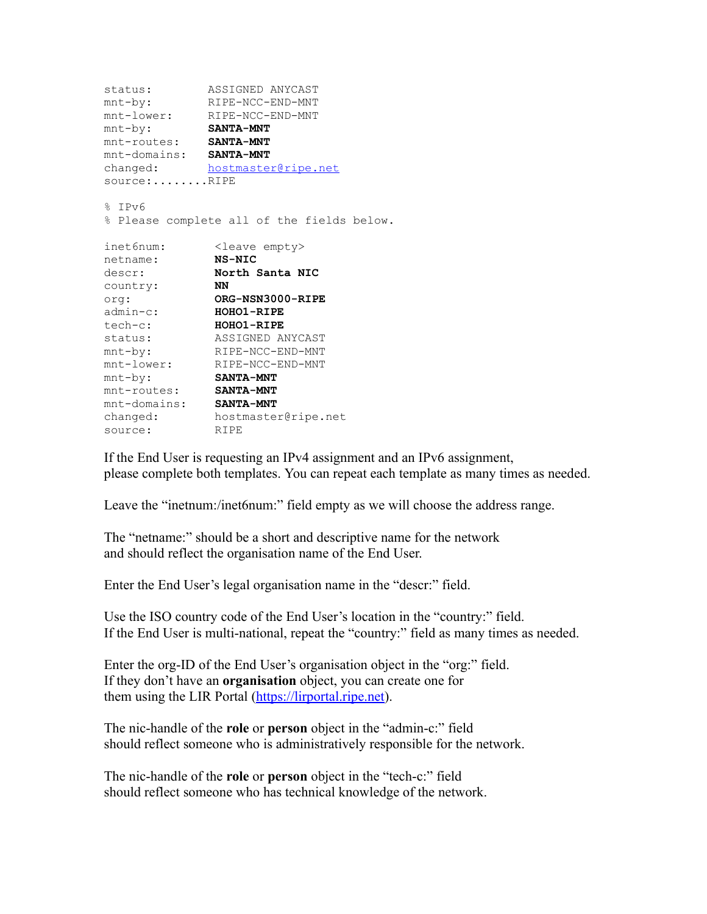```
status: ASSIGNED ANYCAST
mnt-by: RIPE-NCC-END-MNT
mnt-lower: RIPE-NCC-END-MNT
mnt-by: SANTA-MNT
mnt-routes: SANTA-MNT
mnt-domains: SANTA-MNT
changed: hostmaster@ripe.net
source:.......RIPE
% TPy6% Please complete all of the fields below.
inet6num: <leave empty>
netname: NS-NIC
descr: North Santa NIC
country: NN
org: ORG-NSN3000-RIPE
admin-c: HOHO1-RIPE
tech-c: HOHO1-RIPE
status: ASSIGNED ANYCAST
mnt-by: RIPE-NCC-END-MNT
mnt-lower: RIPE-NCC-END-MNT
mnt-by: SANTA-MNT
mnt-routes: SANTA-MNT
mnt-domains: SANTA-MNT
changed: hostmaster@ripe.net
source: RIPE
```
If the End User is requesting an IPv4 assignment and an IPv6 assignment, please complete both templates. You can repeat each template as many times as needed.

Leave the "inetnum:/inet6num:" field empty as we will choose the address range.

The "netname:" should be a short and descriptive name for the network and should reflect the organisation name of the End User.

Enter the End User's legal organisation name in the "descr:" field.

Use the ISO country code of the End User's location in the "country:" field. If the End User is multi-national, repeat the "country:" field as many times as needed.

Enter the org-ID of the End User's organisation object in the "org:" field. If they don't have an **organisation** object, you can create one for them using the LIR Portal [\(https://lirportal.ripe.net\)](https://lirportal.ripe.net/).

The nic-handle of the **role** or **person** object in the "admin-c:" field should reflect someone who is administratively responsible for the network.

The nic-handle of the **role** or **person** object in the "tech-c:" field should reflect someone who has technical knowledge of the network.